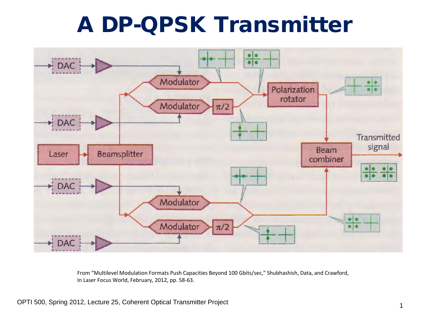## A DP-QPSK Transmitter

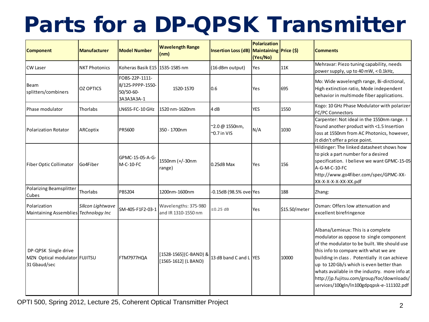# Parts for a DP-QPSK Transmitter

| <b>Component</b>                                                      | <b>Manufacturer</b>  | <b>Model Number</b>                                           | <b>Wavelength Range</b><br>(nm)              | Insertion Loss (dB) Maintaining Price (\$) | <b>Polarization</b><br>(Yes/No) |               | <b>Comments</b>                                                                                                                                                                                                                                                                                                                                                                                                |
|-----------------------------------------------------------------------|----------------------|---------------------------------------------------------------|----------------------------------------------|--------------------------------------------|---------------------------------|---------------|----------------------------------------------------------------------------------------------------------------------------------------------------------------------------------------------------------------------------------------------------------------------------------------------------------------------------------------------------------------------------------------------------------------|
| <b>CW Laser</b>                                                       | <b>NKT Photonics</b> | Koheras Basik E15   1535-1585 nm                              |                                              | (16 dBm output)                            | Yes                             | 11K           | Mehravar: Piezo tuning capability, needs<br>power supply, up to 40 mW, < 0.1kHz,                                                                                                                                                                                                                                                                                                                               |
| Beam<br>splitters/combiners                                           | <b>OZ OPTICS</b>     | FOBS-22P-1111-<br>8/125-PPPP-1550-<br>50/50-60-<br>3A3A3A3A-1 | 1520-1570                                    | 0.6                                        | Yes                             | 695           | Mo: Wide wavelength range, Bi-dirctional,<br>High extinction ratio, Mode independent<br>behavior in multimode fiber applications.                                                                                                                                                                                                                                                                              |
| Phase modulator                                                       | Thorlabs             | LN65S-FC-10 GHz                                               | 1520 nm-1620nm                               | 4 dB                                       | <b>YES</b>                      | 1550          | Kogo: 10 GHz Phase Modulator with polarizer<br><b>FC/PC Connectors</b>                                                                                                                                                                                                                                                                                                                                         |
| <b>Polarization Rotator</b>                                           | ARCoptix             | PR5600                                                        | 350 - 1700nm                                 | ~2.0 @ 1550nm,<br>$-0.7$ in VIS            | N/A                             | 1030          | Carpenter: Not ideal in the 1550nm range. I<br>found another product with <1.5 Insertion<br>loss at 1550nm from AC Photonics, however,<br>it didn't offer a price point.                                                                                                                                                                                                                                       |
| Fiber Optic Collimator                                                | Go4Fiber             | GPMC-15-05-A-G-<br>M-C-10-FC                                  | 1550nm (+/-30nm<br>range)                    | $0.25dB$ Max                               | <b>Yes</b>                      | 156           | Hildinger: The linked datasheet shows how<br>to pick a part number for a desired<br>specification. I believe we want GPMC-15-05<br>A-G-M-C-10-FC<br>http://www.go4fiber.com/spec/GPMC-XX-<br>XX-X-X-X-X-XX-XX.pdf                                                                                                                                                                                              |
| Polarizing Beamsplitter<br>Cubes                                      | Thorlabs             | <b>PBS204</b>                                                 | 1200nm-1600nm                                | -0.15dB (98.5% overYes                     |                                 | 188           | Zhang:                                                                                                                                                                                                                                                                                                                                                                                                         |
| Polarization<br>Maintaining Assemblies Technology Inc                 | Silicon Lightwave    | SM-405-F1F2-03-1                                              | Wavelengths: 375-980<br>and IR 1310-1550 nm  | ≤0.25 dB                                   | Yes                             | \$15.50/meter | Osman: Offers low attenuation and<br>excellent birefringence                                                                                                                                                                                                                                                                                                                                                   |
| DP-QPSK Single drive<br>MZN Optical modulator FUJITSU<br>31 Gbaud/sec |                      | FTM7977HQA                                                    | [1528-1565](C-BAND) &<br>[1565-1612] (LBAND) | 13 dB band C and L YES                     |                                 | 10000         | Albana/Lemieux: This is a complete<br>modulator as oppose to single component<br>of the modulator to be built. We should use<br>this info to compare with what we are<br>building in class. Potentially it can achieve<br>up to 120 Gb/s which is even better than<br>whats available in the industry. more info at<br>http://jp.fujitsu.com/group/foc/downloads/<br>services/100gln/ln100gdpqpsk-e-111102.pdf |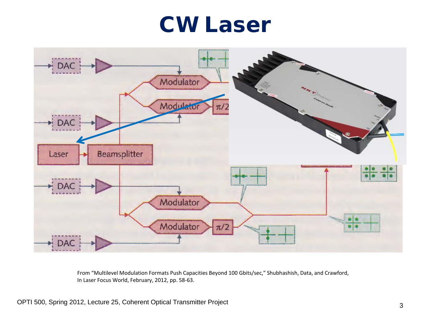#### CW Laser

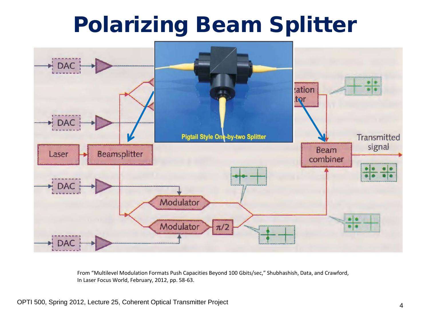## Polarizing Beam Splitter

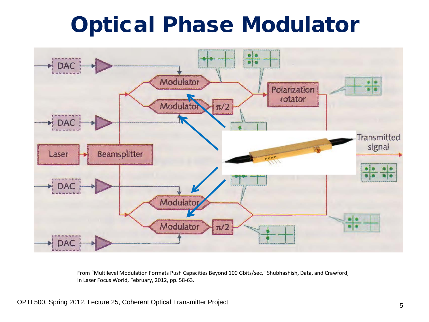## Optical Phase Modulator

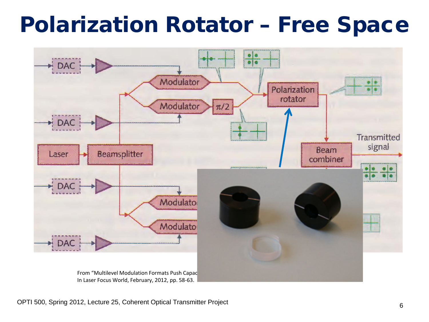### Polarization Rotator – Free Space



OPTI 500, Spring 2012, Lecture 25, Coherent Optical Transmitter Project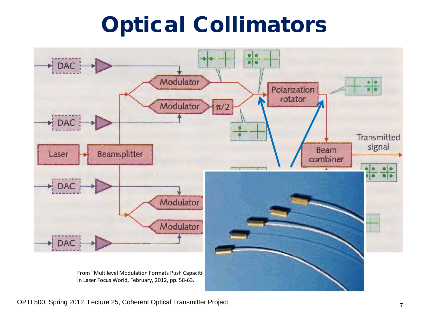# Optical Collimators



OPTI 500, Spring 2012, Lecture 25, Coherent Optical Transmitter Project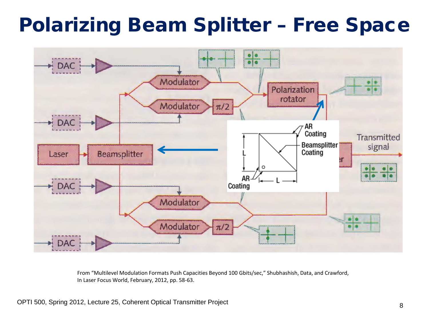#### Polarizing Beam Splitter – Free Space

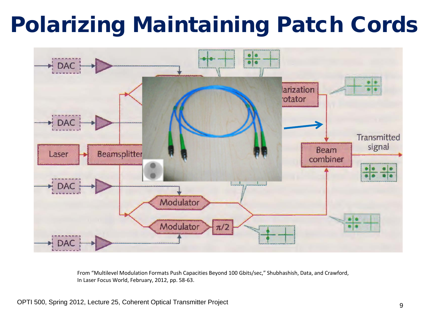# Polarizing Maintaining Patch Cords